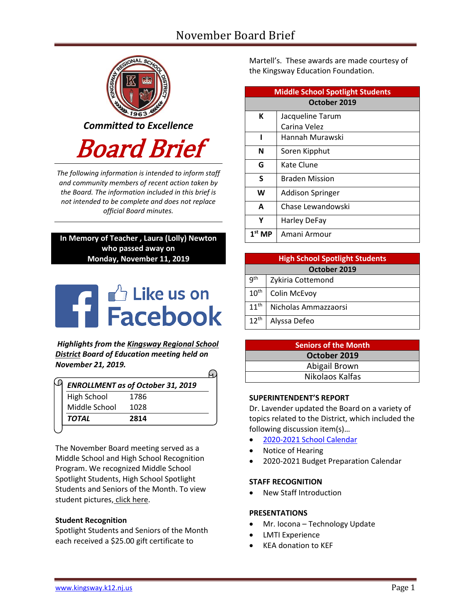# November Board Brief



*The following information is intended to inform staff and community members of recent action taken by the Board. The information included in this brief is not intended to be complete and does not replace official Board minutes.*

# **In Memory of Teacher , Laura (Lolly) Newton who passed away on Monday, November 11, 2019**

# **THE Like us on**

*Highlights from the [Kingsway Regional School](https://www.facebook.com/KingswayDragons)  [District](https://www.facebook.com/KingswayDragons) Board of Education meeting held on November 21, 2019.*

| <b>ENROLLMENT as of October 31, 2019</b> |
|------------------------------------------|
|                                          |
|                                          |
|                                          |
|                                          |

The November Board meeting served as a Middle School and High School Recognition Program. We recognized Middle School Spotlight Students, High School Spotlight Students and Seniors of the Month. To view student pictures, [click here.](http://www.krsd.org/Page/1303)

## **Student Recognition**

Spotlight Students and Seniors of the Month each received a \$25.00 gift certificate to

Martell's. These awards are made courtesy of the Kingsway Education Foundation.

| <b>Middle School Spotlight Students</b> |                         |  |  |  |
|-----------------------------------------|-------------------------|--|--|--|
| October 2019                            |                         |  |  |  |
| К                                       | Jacqueline Tarum        |  |  |  |
|                                         | Carina Velez            |  |  |  |
|                                         | Hannah Murawski         |  |  |  |
| N                                       | Soren Kipphut           |  |  |  |
| G                                       | Kate Clune              |  |  |  |
| S                                       | <b>Braden Mission</b>   |  |  |  |
| W                                       | <b>Addison Springer</b> |  |  |  |
| A                                       | Chase Lewandowski       |  |  |  |
| Υ                                       | <b>Harley DeFay</b>     |  |  |  |
| $1st$ MP                                | Amani Armour            |  |  |  |

| <b>High School Spotlight Students</b> |                      |  |  |  |
|---------------------------------------|----------------------|--|--|--|
| October 2019                          |                      |  |  |  |
| q <sup>th</sup>                       | Zykiria Cottemond    |  |  |  |
| $10^{\text{th}}$                      | Colin McEvoy         |  |  |  |
| $11^{th}$                             | Nicholas Ammazzaorsi |  |  |  |
| $12^{th}$                             | Alyssa Defeo         |  |  |  |

| <b>Seniors of the Month</b> |  |  |  |
|-----------------------------|--|--|--|
| October 2019                |  |  |  |
| Abigail Brown               |  |  |  |
| Nikolaos Kalfas             |  |  |  |

#### **SUPERINTENDENT'S REPORT**

Dr. Lavender updated the Board on a variety of topics related to the District, which included the following discussion item(s)…

- [2020-2021 School Calendar](https://www.krsd.org/Page/1637)
- Notice of Hearing
- 2020-2021 Budget Preparation Calendar

#### **STAFF RECOGNITION**

New Staff Introduction

#### **PRESENTATIONS**

- Mr. Iocona Technology Update
- LMTI Experience
- KEA donation to KEF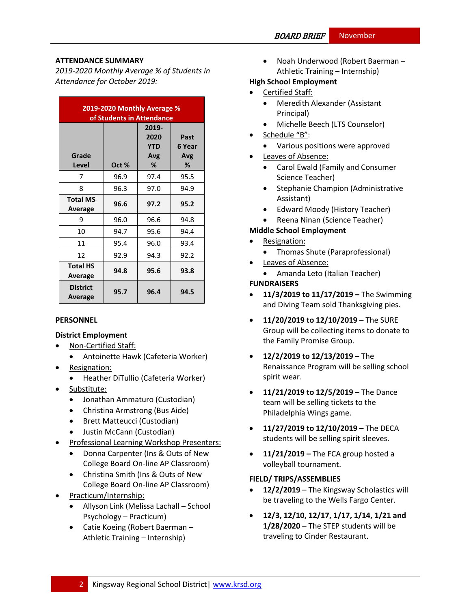## **ATTENDANCE SUMMARY**

*2019-2020 Monthly Average % of Students in Attendance for October 2019:*

| 2019-2020 Monthly Average %<br>of Students in Attendance |       |                                         |                            |  |  |
|----------------------------------------------------------|-------|-----------------------------------------|----------------------------|--|--|
| Grade<br>Level                                           | Oct % | 2019-<br>2020<br><b>YTD</b><br>Avg<br>% | Past<br>6 Year<br>Avg<br>℅ |  |  |
| 7                                                        | 96.9  | 97.4                                    | 95.5                       |  |  |
| 8                                                        | 96.3  | 97.0                                    | 94.9                       |  |  |
| <b>Total MS</b><br>Average                               | 96.6  | 97.2                                    | 95.2                       |  |  |
| 9                                                        | 96.0  | 96.6                                    | 94.8                       |  |  |
| 10                                                       | 94.7  | 95.6                                    | 94.4                       |  |  |
| 11                                                       | 95.4  | 96.0                                    | 93.4                       |  |  |
| 12                                                       | 92.9  | 94.3                                    | 92.2                       |  |  |
| <b>Total HS</b><br>Average                               | 94.8  | 95.6                                    | 93.8                       |  |  |
| <b>District</b><br>Average                               | 95.7  | 96.4                                    | 94.5                       |  |  |

#### **PERSONNEL**

## **District Employment**

- Non-Certified Staff:
	- Antoinette Hawk (Cafeteria Worker)
- Resignation:
	- Heather DiTullio (Cafeteria Worker)
- Substitute:
	- Jonathan Ammaturo (Custodian)
	- Christina Armstrong (Bus Aide)
	- Brett Matteucci (Custodian)
	- Justin McCann (Custodian)
- Professional Learning Workshop Presenters:
	- Donna Carpenter (Ins & Outs of New College Board On-line AP Classroom)
	- Christina Smith (Ins & Outs of New College Board On-line AP Classroom)
- Practicum/Internship:
	- Allyson Link (Melissa Lachall School Psychology – Practicum)
	- Catie Koeing (Robert Baerman Athletic Training – Internship)

 Noah Underwood (Robert Baerman – Athletic Training – Internship)

# **High School Employment**

- Certified Staff:
	- Meredith Alexander (Assistant Principal)
	- Michelle Beech (LTS Counselor)
- Schedule "B":
	- Various positions were approved
- Leaves of Absence:
	- Carol Ewald (Family and Consumer Science Teacher)
	- Stephanie Champion (Administrative Assistant)
	- Edward Moody (History Teacher)
	- Reena Ninan (Science Teacher)

# **Middle School Employment**

- Resignation:
	- Thomas Shute (Paraprofessional)
- Leaves of Absence:
- Amanda Leto (Italian Teacher) **FUNDRAISERS**
- **11/3/2019 to 11/17/2019 –** The Swimming and Diving Team sold Thanksgiving pies.
- **11/20/2019 to 12/10/2019 –** The SURE Group will be collecting items to donate to the Family Promise Group.
- **12/2/2019 to 12/13/2019 –** The Renaissance Program will be selling school spirit wear.
- **11/21/2019 to 12/5/2019 –** The Dance team will be selling tickets to the Philadelphia Wings game.
- **11/27/2019 to 12/10/2019 –** The DECA students will be selling spirit sleeves.
- **11/21/2019 –** The FCA group hosted a volleyball tournament.

## **FIELD/ TRIPS/ASSEMBLIES**

- **12/2/2019** The Kingsway Scholastics will be traveling to the Wells Fargo Center.
- **12/3, 12/10, 12/17, 1/17, 1/14, 1/21 and 1/28/2020 –** The STEP students will be traveling to Cinder Restaurant.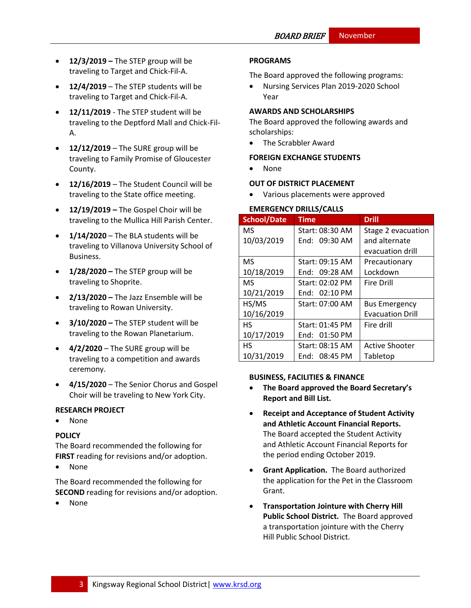- **12/3/2019 –** The STEP group will be traveling to Target and Chick-Fil-A.
- **12/4/2019**  The STEP students will be traveling to Target and Chick-Fil-A.
- **12/11/2019**  The STEP student will be traveling to the Deptford Mall and Chick-Fil-A.
- **12/12/2019**  The SURE group will be traveling to Family Promise of Gloucester County.
- **12/16/2019**  The Student Council will be traveling to the State office meeting.
- **12/19/2019 –** The Gospel Choir will be traveling to the Mullica Hill Parish Center.
- **1/14/2020**  The BLA students will be traveling to Villanova University School of Business.
- **1/28/2020 –** The STEP group will be traveling to Shoprite.
- **2/13/2020 –** The Jazz Ensemble will be traveling to Rowan University.
- **3/10/2020 –** The STEP student will be traveling to the Rowan Planetarium.
- **4/2/2020**  The SURE group will be traveling to a competition and awards ceremony.
- **4/15/2020**  The Senior Chorus and Gospel Choir will be traveling to New York City.

## **RESEARCH PROJECT**

• None

## **[POLICY](http://www.straussesmay.com/seportal/Public/DistrictPolicyTOC.aspx?id=f0cc945ef3894b8d9ad5f87d948ca425&PolicyID=)**

The Board recommended the following for **FIRST** reading for revisions and/or adoption.

• None

The Board recommended the following for **SECOND** reading for revisions and/or adoption.

None

# **PROGRAMS**

The Board approved the following programs:

 Nursing Services Plan 2019-2020 School Year

## **AWARDS AND SCHOLARSHIPS**

The Board approved the following awards and scholarships:

• The Scrabbler Award

#### **FOREIGN EXCHANGE STUDENTS**

• None

#### **OUT OF DISTRICT PLACEMENT**

Various placements were approved

#### **EMERGENCY DRILLS/CALLS**

| <b>School/Date</b> | Time            | <b>Drill</b>            |
|--------------------|-----------------|-------------------------|
| <b>MS</b>          | Start: 08:30 AM | Stage 2 evacuation      |
| 10/03/2019         | End: 09:30 AM   | and alternate           |
|                    |                 | evacuation drill        |
| <b>MS</b>          | Start: 09:15 AM | Precautionary           |
| 10/18/2019         | End: $09:28$ AM | Lockdown                |
| <b>MS</b>          | Start: 02:02 PM | Fire Drill              |
| 10/21/2019         | End: $02:10$ PM |                         |
| HS/MS              | Start: 07:00 AM | <b>Bus Emergency</b>    |
| 10/16/2019         |                 | <b>Evacuation Drill</b> |
| <b>HS</b>          | Start: 01:45 PM | Fire drill              |
| 10/17/2019         | End: $01:50$ PM |                         |
| <b>HS</b>          | Start: 08:15 AM | <b>Active Shooter</b>   |
| 10/31/2019         | End: $08:45$ PM | Tabletop                |

#### **BUSINESS, FACILITIES & FINANCE**

- **The Board approved the Board Secretary's Report and Bill List.**
- **Receipt and Acceptance of Student Activity and Athletic Account Financial Reports.**  The Board accepted the Student Activity and Athletic Account Financial Reports for the period ending October 2019.
- **Grant Application.** The Board authorized the application for the Pet in the Classroom Grant.
- **Transportation Jointure with Cherry Hill Public School District.** The Board approved a transportation jointure with the Cherry Hill Public School District.